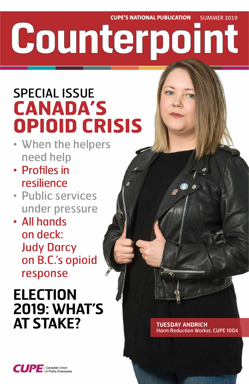**CUPE'S NATIONAL PUBLICATION** SUMMER 2019

# Counterpoint

## SPECIAL ISSUE **CANADA'S OPIOID CRISIS**

## **ELECTION 2019: WHAT'S AT STAKE?** TUESDAY ANDRICH



- When the helpers need help
- Profiles in resilience
- Public services under pressure
- All hands on deck: Judy Darcy on B.C.'s opioid response

## Harm Reduction Worker, CUPE 1004

**CUPE** Canadian Union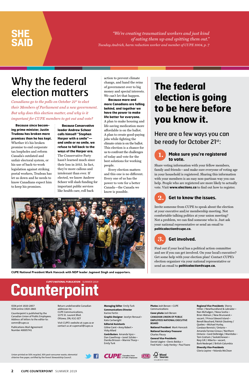**2 CUPE COUNTERPOINT** SUMMER 2019

**Because since becoming prime minister, Justin Trudeau has broken more promises than he has kept.** Whether it's his broken promise to end corporate tax loopholes and reform Canada's outdated and unfair electoral system, or his use of back-to-work legislation against striking postal workers, Trudeau has let us down and he needs to know Canadians expect him to keep his promises.

**Because Conservative leader Andrew Scheer calls himself "Stephen Harper with a smile" and smile or no smile, we refuse to fall back to the ways of the Harper era.** The Conservative Party hasn't learned much since their loss in 2015. In fact, they're more callous and intolerant than ever. If elected, we know Andrew Scheer will slash funding for important public services like health care, roll back

action to prevent climate change, and hand the reins of government over to big money and special interests. We can't let that happen.

**Because more and more Canadians are falling behind, and together we have the power to make life better for everyone.** A plan to make housing and life-saving medication more affordable is on the ballot. A plan to create good-paying jobs while fighting the climate crisis is on the ballot. This election is a chance for us to confront the challenges of today and vote for the best solutions for working people.

Every election matters and this one is no different. Every one of us has the power to vote for a better Canada—the Canada we know is possible.

*"We're creating traumatized workers and just kind of eating them up and spitting them out." Tuesday Andrich, harm reduction worker and member of CUPE 1004, p. 7*

## **SHE SAID**

Union-printed on 50% recycled, 30% post-consumer waste, elemental chlorine-free paper, certified by the Forest Stewardship Council.





ISSN print 1920-2857 ISSN online 1920-2865

Counterpoint is published by the Canadian Union of Public Employees. Address all letters to the editor to: comm@cupe.ca

Publications Mail Agreement Number 40005741

Return undeliverable Canadian addresses to: CUPE Communications, 1375 St. Laurent Blvd. Ottawa, ON, K1G 0Z7

Visit CUPE's website at cupe.ca or contact us at cupemail@cupe.ca

**Managing Editor** Emily Turk **Communications Director** Karine Fortin

**Graphic Designer** Jocelyn Renaud • Kate Cartwright

**Editorial Assistants** Céline Carré • Anny Robert • Vicky Allard

**Contributors** Amanda Vyce • Dan Gawthrop • Janet Szliske • Danika Brisson • Marnie Thorp • Emily Turk

**Photos** Josh Berson • CUPE Communications

**Cover photo** Josh Berson

**CANADIAN UNION OF PUBLIC EMPLOYEES NATIONAL EXECUTIVE BOARD**

**National President** Mark Hancock

**National Secretary-Treasurer** Charles Fleury

**General Vice-Presidents** Daniel Légère • Denis Bolduc • Fred Hahn • Judy Henley • Paul Faoro **Regional Vice-Presidents** Sherry Hillier / Newfoundland & Labrador • Nan McFadgen / Nova Scotia • Brien Watson / New Brunswick • vacant / Prince Edward Island • Benoît Bouchard, Patrick Gloutney / Quebec • Michael Hurley, Candace Rennick / Ontario • Amanda Farrow-Giroux / Northern Ontario • Gord Delbridge / Manitoba • Tom Graham / Saskatchewan • Rory Gill / Alberta • vacant, Barb Nederpel / British Columbia

**Diversity Vice-Presidents** Gloria Lepine • Yolanda McClean

### **Make sure you're registered to vote.**

Share voting information with your fellow members, family and friends—and make sure everyone of voting age in your household is registered. Sharing this information with your members is an easy non-partisan way you can help. People who are registered are more likely to actually vote. Visit **www.elections.ca** to find out how to register.

### **Get to know the issues.**

Invite someone from CUPE to speak about the election at your executive and/or membership meeting. Not comfortable talking politics at your union meeting? Not a problem, we can find someone who is. Just ask your national representative or send an email to **politicalaction@cupe.ca.**

Find out if your local has a political action committee and see if you can get involved. On your local's executive? Get some help with your election plan! Contact CUPE's election organizer via your national representative or send an email to **politicalaction@cupe.ca.**

## **Counterpoint**

## Why the federal election matters



*Canadians go to the polls on October 21st to elect their Members of Parliament and a new government. But why does this election matter, and why is it important for CUPE members to get out and vote?*

## **The federal election is going to be here before you know it.**

Here are a few ways you can be ready for October 21st:



CUPE National President Mark Hancock with NDP leader Jagmeet Singh and supporters.



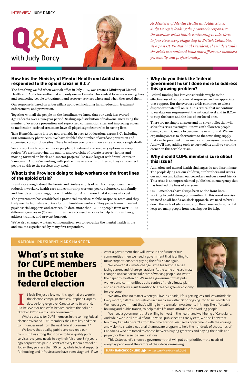**What's at stake for CUPE members in the October** 

### **federal election**

I t feels like just a few months ago that we were in<br>the election campaign that saw Stephen Harper's<br>decade-long reign over Canada come to an end.<br>Rut believe it or not we're headed back to the polls on the election campaign that saw Stephen Harper's decade-long reign over Canada come to an end. But believe it or not, we're headed back to the polls on October 21<sup>st</sup> to elect a new government.

### **NATIONAL PRESIDENT** MARK HANCOCK

What's at stake for CUPE members in the coming federal election? What do CUPE members, their families, and their communities need from the next federal government?

We know that quality public services keep our communities strong. But in order to have quality public services, everyone needs to pay their fair share. Fifty years ago, corporations paid 70 cents of every federal tax dollar. Today, they pay less than 50 cents, while federal supports for housing and infrastructure have been stagnant. If we want a government that will invest in the future of our communities, then we need a government that is willing to make corporations start paying their fair share again.

We know that climate change is the biggest challenge facing current and future generations. At the same time, a climate change plan that doesn't take care of working people isn't worth the paper it's written on. We need a government that puts workers and communities at the centre of their climate plan, and ensures there's a just transition to a cleaner, greener economy for everyone.



We know that, no matter where you live in Canada, life is getting less and less affordable. Every month, half of all households in Canada are within \$200 of going into financial collapse. We need a government that's willing to make major investments in things like affordable housing and public transit, to help make life more affordable for working people.

We need a government that's willing to invest in the health and well-being of Canadians. And while we are all proud of our universal public health care system, we also know that too many Canadians can't afford their medication. We need a government with the courage and vision to create a national pharmacare program to help the hundreds of thousands of Canadians who are forced to choose between buying groceries and paying their bills and paying for their essential medications.

This October, let's choose a government that will put our priorities—the needs of everyday people—at the centre of their decision-making.

**MARK HANCOCK ONLINE 3** twitter.com/MarkHancockCUPE





### **How has the Ministry of Mental Health and Addictions responded to the opioid crisis in B.C.?**

The first thing we did when we took office in July 2017, was create a Ministry of Mental Health and Addictions—the first and only one in Canada. Our central focus is on saving lives and connecting people to treatment and recovery services where and when they need them.

Our response is based on a four pillars approach including harm reduction, treatment enforcement, and prevention.

Together with all the people on the frontlines, we know that our work has averted 4,700 deaths over a two-year period. Scaling-up distribution of naloxone, increasing the number of overdose prevention and supervised consumption sites and improving access to medication-assisted treatment have all played significant roles in saving lives.

Take Home Naloxone kits are now available in over 1,500 locations across B.C., including 600 community pharmacies. We have doubled the number of overdose prevention and supervised consumption sites. There have been over one million visits and not a single death.

We are working to connect more people to treatment and recovery options in every region. We are improving the quality and oversight of private recovery homes and moving forward on brick-and-mortar projects like B.C.'s largest withdrawal centre in Vancouver. And we're working with police in several communities, so they can connect people at risk to the services they need.

### **What is the Province doing to help workers on the front lines of the opioid crisis?**

I can't say enough about the heroic and tireless efforts of our first responders, harm reduction workers, health care and community workers, peers, volunteers, and family and friends of those struggling with addiction. And I know that it comes at a cost.

The government has established a provincial overdose Mobile Response Team and they truly are the front-line workers for our front-line workers. They provide much needed psychosocial supports and services. To date, more than 12,000 people from over 1,000 different agencies in 70 communities have accessed services to help build resiliency, address trauma, and prevent burnout.

We've also changed workers' compensation laws to recognize the mental health injury and trauma experienced by many first responders.

### **Why do you think the federal government hasn't done more to address this growing problem?**

Federal funding has lent considerable weight to the effectiveness of our provincial response, and we appreciate that support. But the overdose crisis continues to take a disproportionate toll on B.C. It is critical that we continue to escalate our response—at the national level and in B.C. to stop the harm and the loss of our loved ones.

There are no simple answers and no silver bullet that will solve this crisis overnight. But we can't allow ten people dying a day in Canada to become the new normal. We are expanding access to alternatives to the toxic drug supply that can be provided under medical supervision to save lives. And we'll keep adding tools to our toolbox until we turn the corner on this terrible crisis.

### **Why should CUPE members care about this issue?**

Addiction and mental health challenges do not discriminate. The people dying are our children, our brothers and sisters, our mothers and fathers, our coworkers and our closest friends. This crisis is an unprecedented public health emergency that has touched the lives of everyone.

CUPE members have always been on the front lines working to build strong communities. In this overdose crisis, we need an all-hands-on-deck approach. We need to break down the walls of silence and stop the shame and stigma that keep too many people from reaching out for help.

*As Minister of Mental Health and Addictions, Judy Darcy is leading the province's response to the overdose crisis that is continuing to take three to four lives every single day in British Columbia. As a past CUPE National President, she understands the crisis is a national issue that affects our members personally and professionally.* 

### INTERVIEW | JUDY DARCY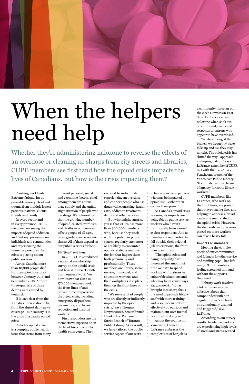Crushing workloads. Extreme fatigue. Insuppressable anxiety. Grief and trauma from multiple losses: patients, patrons, clients, friends and family.

In every sector and in every province, CUPE members are seeing the impacts of opioid addiction and fentanyl poisoning on individuals and communities and experiencing the immense pressures the crisis is placing on our public services.

Across Canada, more than 10,300 people died from an opioid overdose between January 2016 and September 2018. Almost three-quarters of those deaths were caused by fentanyl. If it isn't clear from the statistics, then it should be from the almost daily news coverage—our country is in the grips of a deadly opioid crisis.

Canada's opioid crisis is a complex public health issue that stems from many

different personal, social and economic factors, chief among them are a toxic drug supply and the unfair stigmatization of people who use drugs. It's noteworthy that the growing number of opioid-related overdoses and deaths in our country affects people of all ages, races, genders, and economic classes. All of them depend on our public services for help.

#### **Shifting front lines**

In 2018, CUPE conducted a national membership survey on the opioid crisis and how it intersects with our members' work. We now know that close to 170,000 members work on the front lines of and provide direct responses to the opioid crisis, including emergency dispatchers, paramedics, and harm reduction and hospital workers.

First responders are the members we expect to be on the front lines of a public health emergency. They

respond to individuals experiencing an overdose and connect people who use drugs with counselling, health care, addiction treatment, detox and other services.

But what might surprise you is that CUPE has more than 300,000 members who, because they work with the public in public spaces, regularly encounter or are likely to encounter, opioid-related issues onthe-job that impact them both personally and professionally. These members are library, social service, municipal, and education workers, and their workplaces also place them on the front lines of the crisis. "We serve a lot of people who are directly or indirectly impacted by the opioid crisis," says Thomas Krzyzanowski, Senior Branch Head at the Parliament Street Branch of Toronto Public Library. "As a result, we have tailored the public service aspect of our work

Library work involves a lot of immeasurable affective labour that, compounded with our 'regular duties,' can leave one emotionally drained and triggered," says LaFrance. According to our survey results, front-line workers are experiencing high levels of stress and stress-related

to be responsive to patrons who may be impacted by opioid use—either their own or their peers'."

As Canada's opioid crisis worsens, its impacts are being felt by public service workers who haven't traditionally been viewed as first responders. And as members take on roles that fall outside their original job descriptions, the front lines are shifting.

"The opioid crisis and rising inequality have increased the amount of time we have to spend working with patrons in vulnerable situations and who may be in crisis," says Krzyzanowski. "It has brought into sharp focus the need to provide library staff with more training and resources in order to effectively do our jobs and maintain our own mental health while doing so." Across the country in Vancouver, Danielle LaFrance embraces the complexities of her job as

a community librarian on the city's Downtown East Side. LaFrance carries naloxone when she's out on community visits and responds to patrons who appear to have overdosed.

"While working at the branch, we frequently wake folks up and ask they stay upright. The opioid crisis has shifted the way I approach a sleeping patron," says LaFrance, a member of CUPE 391 with the nə́c̓aʔmat ct Strathcona branch of the Vancouver Public Library. "It contributes to a chasm of anxiety for some library workers."

CUPE members, like LaFrance, who work on the front lines, are proud that they're saving lives and helping to address a broad range of issues related to the opioid crisis. However, the demands and pressures placed on these workers can take a heavy toll.

#### **Impacts on members**

Meeting the complex needs of our communities and filling in for other service and staffing gaps—has left many CUPE members feeling stretched thin and without the supports they need.



## When the helpers need help

Whether they're administering naloxone to reverse the effects of an overdose or cleaning up sharps from city streets and libraries, CUPE members see firsthand how the opioid crisis impacts the lives of Canadians. But how is the crisis impacting them?

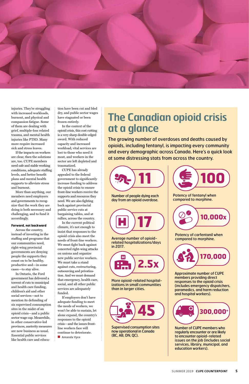

injuries. They're struggling with increased workloads, burnout, and physical and compassion fatigue. Some of them are dealing with grief, multiple-loss related trauma, and mental health injuries like PTSD. Many more require increased sick and stress leaves.

If the impacts on workers are clear, then the solutions are, too. CUPE members need safe and stable working conditions, adequate staffing levels, and better benefit plans and mental health supports to alleviate stress and burnout.

More than anything, our members need employers and governments to recognize that the work they are doing is both necessary and challenging, and to fund it accordingly.

#### **Forward, not backward**

Across the country, instead of investing in the staffing and programs that our communities need, right-wing provincial governments are denying people the supports they count on to be healthy, productive and—in some cases—to stay alive.

In Ontario, the Ford government has delivered a torrent of cuts to municipal and health care funding, children's aid and other social services—not to mention its defunding of six supervised consumption sites in the midst of an opioid crisis—and a public sector wage cap. Meanwhile, in other conservative-led provinces, austerity measures are now business as usual. Essential public services like health care and education have been cut and bled dry, and public sector wages have stagnated or been frozen entirely.

In the context of the opioid crisis, this cost cutting is a very sharp double-edged sword. With reduced capacity and increased workload, vital services are lost to those who need it most, and workers in the sector are left depleted and traumatized.

CUPE has already appealed to the federal government to significantly increase funding to address the opioid crisis to ensure front-line workers receive the supports and resources they need. We are also fighting back against provincial public service cuts at bargaining tables, and at rallies, across the country.

In the current political climate, it's not enough to insist that responses to the opioid crisis also meet the needs of front-line workers. We must fight back against concerted right-wing attacks on unions and organize new public service workers. We must take a stand against cuts, restructuring, outsourcing and privatization. And we must demand that emergency, health care,

social, and all other public services are adequately funded.

If employers don't have adequate funding to meet the needs of workers, we won't be able to sustain, let alone expand, the country's responses to the opioid crisis—and the issues frontline workers face will continue to deteriorate.

■ **Amanda Vyce** 

## **The Canadian opioid crisis at a glance**

The growing number of overdoses and deaths caused by opioids, including fentanyl, is impacting every community and every demographic across Canada. Here's a quick look at some distressing stats from across the country.













More opioid-related hospital-

izations in small communities than in larger cities.

Potency of carfentanil when compared to morphine.

Approximate number of CUPE members providing direct responses to the opioid crisis (includes emergency dispatchers, paramedics, and harm reduction and hospital workers).



Average number of opioidrelated hospitalizations/days in 2017.

Potency of fentanyl when compared to morphine.

Number of CUPE members who regularly encounter or are likely to encounter opioid-related issues on the job (includes social services, library, municipal, and education workers).

Supervised consumption sites now operational in Canada (BC, AB, ON, QC).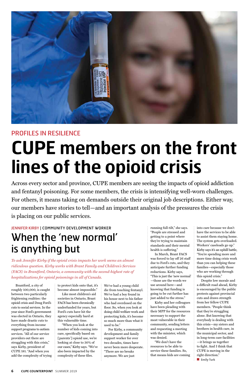Across every sector and province, CUPE members are seeing the impacts of opioid addiction and fentanyl poisoning. For some members, the crisis is intensifying well-worn challenges. For others, it means taking on demands outside their original job descriptions. Either way, our members have stories to tell—and an important analysis of the pressures the crisis is placing on our public services.



### PROFILES IN RESILIENCE

## **CUPE members on the front lines of the opioid crisis**

Brantford, a city of roughly 100,000, is caught between two particularly frightening realities: the opioid crisis and Doug Ford's cuts to social services. In the year since Ford's government was elected in Ontario, they have made drastic cuts to everything from income support programs to autism services. "All of our service providers out there are struggling with this crisis," says Kirby, president of CUPE 181. "And when you add the complexity of trying to protect kids onto that, it's become almost impossible." Like most children's aid societies in Ontario, Brant FACS has been chronically underfunded for years, but Ford's cuts have hit the agency especially hard at this vulnerable time.

"When you look at the number of kids coming into care, specifically based on [parents'] opioid use, we're looking at close to 30% of our cases," Kirby says. "We've also been impacted by the complexity of these files.

We've had a young child die from touching fentanyl. We've had a boy found in his house next to his father who had overdosed on the floor. So, when you look at doing child welfare work and protecting kids, it's become so much more than what it used to be."

For Kirby, a community development and family support worker for over two decades, times have never been more desperate. "There are no breaks anymore. We are just

running full-tilt," she says. "People are stressed and getting to a point where they're trying to maintain standards and their mental health is suffering."

In March, Brant FACS was forced to lay off 26 staff due to Ford's cuts, and they anticipate further funding reductions. Kirby says, "This is just the 'new normal' —those are the words we

use around here—and knowing that funding is going to be cut further has just added to the stress."

Kirby and her colleagues have been pleading with their MPP for the resources necessary to support the most vulnerable in their community, sending letters and requesting a meeting with the minister, which was denied.

"We don't have the resources to be able to service these families. So, that means kids are coming into care because we don't have the services to be able to assist them staying home. The system gets overloaded. Workers' caseloads go up." Kirby says it's an uphill battle, "You're spending more and more time doing crisis work than you can helping these families—especially those who are working through this opioid crisis."

Despite low morale and a difficult road ahead, Kirby is encouraged by the public protests against provincial cuts and draws strength from her fellow CUPE members. "People think that they're struggling alone. But knowing that everybody is dealing with this crisis—my sisters and brothers in health care, in the municipal sector, and in long-term care facilities —it brings us together to fight. And I think that CUPE is moving in the right direction." ■ **Emily Turk**

JENNIFER KIRBY | COMMUNITY DEVELOPMENT WORKER

## When the 'new normal' is anything but

*To ask Jennifer Kirby if the opioid crisis impacts her work seems an almost ridiculous question. Kirby works with Brant Family and Children's Services (FACS) in Brantford, Ontario, a community with the second-highest rate of hospitalizations for opioid poisonings in all of Canada.*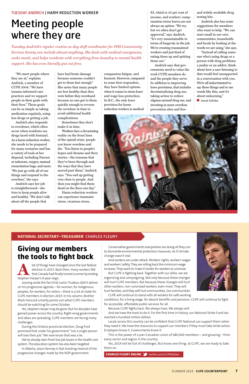"We meet people where they are at," explains Andrich, a member of CUPE 1004. "We have trauma-informed care practices and we support people in their goals with their lives." Those goals can be as simple as taking medication regularly, using less drugs or getting a job.

Andrich also responds to overdoses, which often occur when residents use drugs laced with fentanyl. As a harm reduction worker, she needs to be prepared for many scenarios and has a variety of tools at her disposal, including Narcan or naloxone, oxygen, manual resuscitation bags, and more. "We just go with all of our things and respond to the overdose," she says.

Andrich says her job is straightforward—she tries to keep people alive and healthy. "We don't talk about all the people that

have had brain damage because someone couldn't get to them fast enough." She notes that many people are less healthy than they were before they overdosed because no one got to them quickly enough to reverse the overdose in time to avoid additional health complications.

Sometimes they don't make it in time.

Workers face a devastating reality on the front lines of the opioid crisis: people you know overdose and die. "You listen to people's hopes and dreams and their stories—the traumas that they've been through and the ways that they have moved past them," Andrich says. "You end up getting very close to people. And then you might find them dead on the floor one day."

Harm reduction workers can experience traumatic stress, vicarious stress,

compassion fatigue, and burnout. However, compared to some first responders, they have limited options when it comes to stress leave and wage loss protection. In B.C., the only leave provision for harm reduction workers is medical

EI, which is 55 per cent of income, and workers' compensation stress leaves are not always an option. "We try, but we often don't get approved," says Andrich. "It's very unsustainable in terms of longevity in the job. We're creating traumatized workers and just kind of eating them up and spitting them out."

Andrich says that governments need to value the work CUPE members do and the people they serve. In addition to improving leave provisions, that includes decriminalizing drug use, taking action to reduce stigmas around drug use, and investing in more overdose prevention sites and free

and widely-available drug testing kits.

Andrich also has some suggestions for members who want to help. "We can start small in our own communities, households and locals by looking at the words we are using," she says.

"Instead of calling someone who's using drugs or a person with drug problems a junkie or an addict, think about how a user listening to that would feel unsupported in a conversation with you. We're all indoctrinated to say these things and to use words like this, and it's about unlearning." ■ **Janet Szliske**



### **NATIONAL SECRETARY-TREASURER** CHARLES FLEURY

Conservative governments everywhere are doing all they can to dismantle environmental protection measures. As if climate change wasn't real.

And workers are under attack. Workers' rights, workers' wages and workers' safety. They are rolling back the minimum wage increase. They want to make it harder for workers to unionize.

But CUPE is fighting back. Together with our allies, we are organizing and campaigning. Not only because these changes will hurt CUPE members. But because these changes will hurt other workers, non-unionized workers, even more. They will hurt families, and they will hurt communities. Our communities.



CUPE will continue to stand with all workers for safe working



Because CUPE fights back. We always have. We always will.

And we have the tools to do it. For the first time in history, our National Strike Fund has reached a hundred million dollars.

Locals across this country can be confident that CUPE National can support them when they need it. We have the resources to support our members if they must take strike action. Employers know it. Governments know it.

This is the power of a pan-Canadian union of 680,000 members—and growing—from every sector and region in the country.

Yes, 2019 will be full of challenges. But know one thing: at CUPE, we are ready to take them on.

**CHARLES FLEURY ONLINE We twitter.com/CUPENatSec** 



### **Giving our members the tools to fight back**

**A** lot of things have changed since the last federal election in 2015. Back then, many workers felt that Canada had finally turned a corner by ending Stephen Harper's 9-year reign.

Leaving aside the fact that Justin Trudeau didn't deliver on his progressive agenda—for women, for Indigenous peoples, for workers, for voters—there is a lot at stake for CUPE members in election 2019. In his column, Brother Mark Hancock smartly points out what CUPE members should be watching for come October.

Yes, Stephen Harper may be gone. But his disciples have gained power across the country. Right-wing governments and ideas are spreading. CUPE members are facing many challenges.

During the Ontario provincial election, Doug Ford promised that under his government "not a single person will lose their job." We now know that was a lie.

We've already seen front line job losses in the health care system. The education system has also been targeted.

In Alberta, Jason Kenney is fast-tracking reversal of the progressive changes made by the NDP government.

## Meeting people where they are

*Tuesday Andrich's regular routine as day shift coordinator for PHS Community Services Society can include almost anything. She deals with medical emergencies, cooks meals, and helps residents with everything from laundry to mental health support. She has even literally put out fires.*